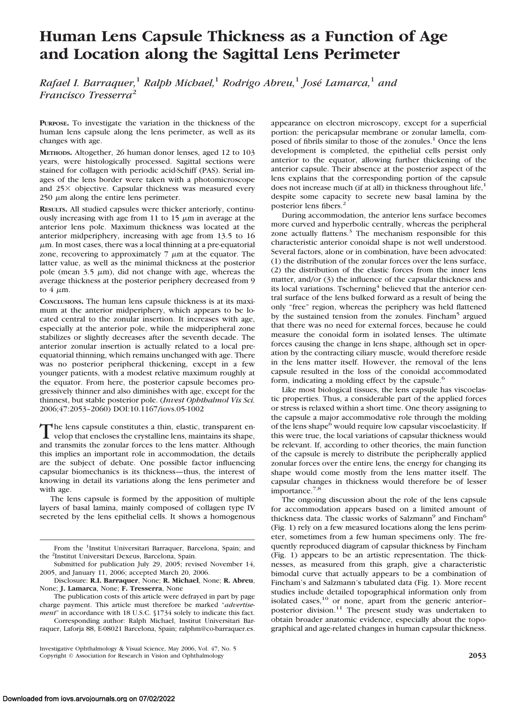# **Human Lens Capsule Thickness as a Function of Age and Location along the Sagittal Lens Perimeter**

*Rafael I. Barraquer,*<sup>1</sup> *Ralph Michael,*<sup>1</sup> *Rodrigo Abreu,*<sup>1</sup> *Jose´ Lamarca,*<sup>1</sup> *and Francisco Tresserra*<sup>2</sup>

**PURPOSE.** To investigate the variation in the thickness of the human lens capsule along the lens perimeter, as well as its changes with age.

**METHODS.** Altogether, 26 human donor lenses, aged 12 to 103 years, were histologically processed. Sagittal sections were stained for collagen with periodic acid-Schiff (PAS). Serial images of the lens border were taken with a photomicroscope and  $25\times$  objective. Capsular thickness was measured every  $250 \mu m$  along the entire lens perimeter.

**RESULTS.** All studied capsules were thicker anteriorly, continuously increasing with age from 11 to 15  $\mu$ m in average at the anterior lens pole. Maximum thickness was located at the anterior midperiphery, increasing with age from 13.5 to 16  $\mu$ m. In most cases, there was a local thinning at a pre-equatorial zone, recovering to approximately  $7 \mu m$  at the equator. The latter value, as well as the minimal thickness at the posterior pole (mean  $3.5 \mu m$ ), did not change with age, whereas the average thickness at the posterior periphery decreased from 9 to  $4 \mu m$ .

**CONCLUSIONS.** The human lens capsule thickness is at its maximum at the anterior midperiphery, which appears to be located central to the zonular insertion. It increases with age, especially at the anterior pole, while the midperipheral zone stabilizes or slightly decreases after the seventh decade. The anterior zonular insertion is actually related to a local preequatorial thinning, which remains unchanged with age. There was no posterior peripheral thickening, except in a few younger patients, with a modest relative maximum roughly at the equator. From here, the posterior capsule becomes progressively thinner and also diminishes with age, except for the thinnest, but stable posterior pole. (*Invest Ophthalmol Vis Sci.* 2006;47:2053–2060) DOI:10.1167/iovs.05-1002

The lens capsule constitutes a thin, elastic, transparent en-<br>velop that encloses the crystalline lens, maintains its shape,<br>and transmite the consules for each the lane matter. Although and transmits the zonular forces to the lens matter. Although this implies an important role in accommodation, the details are the subject of debate. One possible factor influencing capsular biomechanics is its thickness—thus, the interest of knowing in detail its variations along the lens perimeter and with age.

The lens capsule is formed by the apposition of multiple layers of basal lamina, mainly composed of collagen type IV secreted by the lens epithelial cells. It shows a homogenous appearance on electron microscopy, except for a superficial portion: the pericapsular membrane or zonular lamella, composed of fibrils similar to those of the zonules.<sup>1</sup> Once the lens development is completed, the epithelial cells persist only anterior to the equator, allowing further thickening of the anterior capsule. Their absence at the posterior aspect of the lens explains that the corresponding portion of the capsule does not increase much (if at all) in thickness throughout life, $<sup>1</sup>$ </sup> despite some capacity to secrete new basal lamina by the posterior lens fibers.<sup>2</sup>

During accommodation, the anterior lens surface becomes more curved and hyperbolic centrally, whereas the peripheral zone actually flattens.<sup>3</sup> The mechanism responsible for this characteristic anterior conoidal shape is not well understood. Several factors, alone or in combination, have been advocated: (1) the distribution of the zonular forces over the lens surface, (2) the distribution of the elastic forces from the inner lens matter, and/or (3) the influence of the capsular thickness and its local variations. Tscherning<sup>4</sup> believed that the anterior central surface of the lens bulked forward as a result of being the only "free" region, whereas the periphery was held flattened by the sustained tension from the zonules. Fincham<sup>5</sup> argued that there was no need for external forces, because he could measure the conoidal form in isolated lenses. The ultimate forces causing the change in lens shape, although set in operation by the contracting ciliary muscle, would therefore reside in the lens matter itself. However, the removal of the lens capsule resulted in the loss of the conoidal accommodated form, indicating a molding effect by the capsule.<sup>6</sup>

Like most biological tissues, the lens capsule has viscoelastic properties. Thus, a considerable part of the applied forces or stress is relaxed within a short time. One theory assigning to the capsule a major accommodative role through the molding of the lens shape<sup>6</sup> would require low capsular viscoelasticity. If this were true, the local variations of capsular thickness would be relevant. If, according to other theories, the main function of the capsule is merely to distribute the peripherally applied zonular forces over the entire lens, the energy for changing its shape would come mostly from the lens matter itself. The capsular changes in thickness would therefore be of lesser importance.7,8

The ongoing discussion about the role of the lens capsule for accommodation appears based on a limited amount of thickness data. The classic works of Salzmann<sup>9</sup> and Fincham<sup>6</sup> (Fig. 1) rely on a few measured locations along the lens perimeter, sometimes from a few human specimens only. The frequently reproduced diagram of capsular thickness by Fincham (Fig. 1) appears to be an artistic representation. The thicknesses, as measured from this graph, give a characteristic bimodal curve that actually appears to be a combination of Fincham's and Salzmann's tabulated data (Fig. 1). More recent studies include detailed topographical information only from isolated cases,<sup>10</sup> or none, apart from the generic anteriorposterior division.11 The present study was undertaken to obtain broader anatomic evidence, especially about the topographical and age-related changes in human capsular thickness.

From the <sup>1</sup>Institut Universitari Barraquer, Barcelona, Spain; and the <sup>2</sup>Institut Universitari Dexeus, Barcelona, Spain.

Submitted for publication July 29, 2005; revised November 14, 2005, and January 11, 2006; accepted March 20, 2006.

Disclosure: **R.I. Barraquer**, None; **R. Michael**, None; **R. Abreu**, None; **J. Lamarca**, None; **F. Tresserra**, None

The publication costs of this article were defrayed in part by page charge payment. This article must therefore be marked "*advertisement*" in accordance with 18 U.S.C. §1734 solely to indicate this fact.

Corresponding author: Ralph Michael, Institut Universitari Barraquer, Laforja 88, E-08021 Barcelona, Spain; ralphm@co-barraquer.es.

Investigative Ophthalmology & Visual Science, May 2006, Vol. 47, No. 5 Copyright © Association for Research in Vision and Ophthalmology **2053**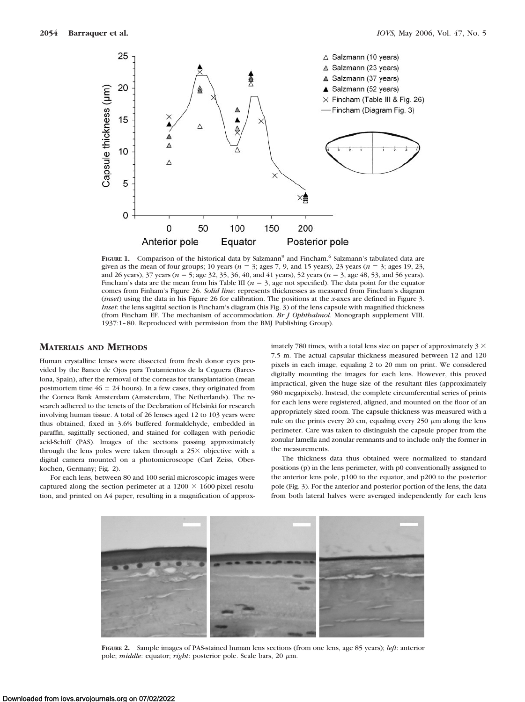

FIGURE 1. Comparison of the historical data by Salzmann<sup>9</sup> and Fincham.<sup>6</sup> Salzmann's tabulated data are given as the mean of four groups; 10 years ( $n = 3$ ; ages 7, 9, and 15 years), 23 years ( $n = 3$ ; ages 19, 23, and 26 years),  $37$  years ( $n = 5$ ; age 32, 35, 36, 40, and 41 years), 52 years ( $n = 3$ , age 48, 53, and 56 years). Fincham's data are the mean from his Table III ( $n = 3$ , age not specified). The data point for the equator comes from Finham's Figure 26. *Solid line*: represents thicknesses as measured from Fincham's diagram (*inset*) using the data in his Figure 26 for calibration. The positions at the *x*-axes are defined in Figure 3. *Inset*: the lens sagittal section is Fincham's diagram (his Fig. 3) of the lens capsule with magnified thickness (from Fincham EF. The mechanism of accommodation. *Br J Ophthalmol*. Monograph supplement VIII. 1937:1–80. Reproduced with permission from the BMJ Publishing Group).

# **MATERIALS AND METHODS**

Human crystalline lenses were dissected from fresh donor eyes provided by the Banco de Ojos para Tratamientos de la Ceguera (Barcelona, Spain), after the removal of the corneas for transplantation (mean postmortem time  $46 \pm 24$  hours). In a few cases, they originated from the Cornea Bank Amsterdam (Amsterdam, The Netherlands). The research adhered to the tenets of the Declaration of Helsinki for research involving human tissue. A total of 26 lenses aged 12 to 103 years were thus obtained, fixed in 3.6% buffered formaldehyde, embedded in paraffin, sagittally sectioned, and stained for collagen with periodic acid-Schiff (PAS). Images of the sections passing approximately through the lens poles were taken through a  $25\times$  objective with a digital camera mounted on a photomicroscope (Carl Zeiss, Oberkochen, Germany; Fig. 2).

For each lens, between 80 and 100 serial microscopic images were captured along the section perimeter at a  $1200 \times 1600$ -pixel resolution, and printed on A4 paper, resulting in a magnification of approximately 780 times, with a total lens size on paper of approximately  $3 \times$ 7.5 m. The actual capsular thickness measured between 12 and 120 pixels in each image, equaling 2 to 20 mm on print. We considered digitally mounting the images for each lens. However, this proved impractical, given the huge size of the resultant files (approximately 980 megapixels). Instead, the complete circumferential series of prints for each lens were registered, aligned, and mounted on the floor of an appropriately sized room. The capsule thickness was measured with a rule on the prints every 20 cm, equaling every  $250 \mu m$  along the lens perimeter. Care was taken to distinguish the capsule proper from the zonular lamella and zonular remnants and to include only the former in the measurements.

The thickness data thus obtained were normalized to standard positions (p) in the lens perimeter, with p0 conventionally assigned to the anterior lens pole, p100 to the equator, and p200 to the posterior pole (Fig. 3). For the anterior and posterior portion of the lens, the data from both lateral halves were averaged independently for each lens



**FIGURE 2.** Sample images of PAS-stained human lens sections (from one lens, age 85 years); *left*: anterior pole; *middle*: equator; *right*: posterior pole. Scale bars, 20 μm.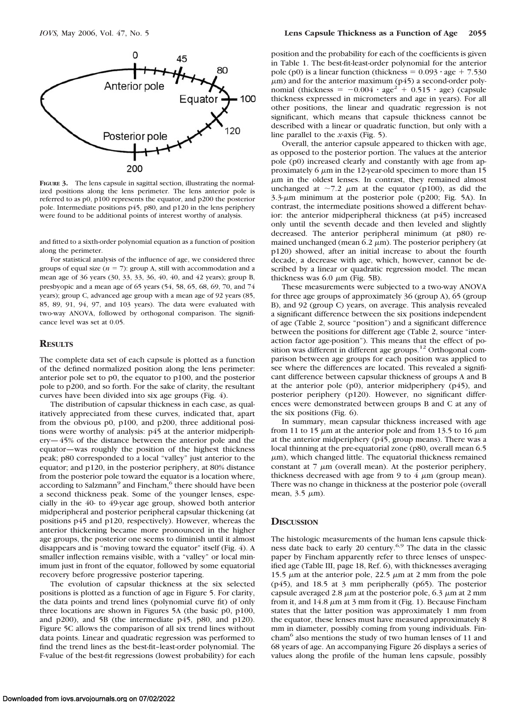

**FIGURE 3.** The lens capsule in sagittal section, illustrating the normalized positions along the lens perimeter. The lens anterior pole is referred to as p0, p100 represents the equator, and p200 the posterior pole. Intermediate positions p45, p80, and p120 in the lens periphery were found to be additional points of interest worthy of analysis.

and fitted to a sixth-order polynomial equation as a function of position along the perimeter.

For statistical analysis of the influence of age, we considered three groups of equal size  $(n = 7)$ : group A, still with accommodation and a mean age of 36 years (30, 33, 33, 36, 40, 40, and 42 years); group B, presbyopic and a mean age of 65 years (54, 58, 65, 68, 69, 70, and 74 years); group C, advanced age group with a mean age of 92 years (85, 85, 89, 91, 94, 97, and 103 years). The data were evaluated with two-way ANOVA, followed by orthogonal comparison. The significance level was set at 0.05.

## **RESULTS**

The complete data set of each capsule is plotted as a function of the defined normalized position along the lens perimeter: anterior pole set to p0, the equator to p100, and the posterior pole to p200, and so forth. For the sake of clarity, the resultant curves have been divided into six age groups (Fig. 4).

The distribution of capsular thickness in each case, as qualitatively appreciated from these curves, indicated that, apart from the obvious p0, p100, and p200, three additional positions were worthy of analysis: p45 at the anterior midperiphery—45% of the distance between the anterior pole and the equator—was roughly the position of the highest thickness peak; p80 corresponded to a local "valley" just anterior to the equator; and p120, in the posterior periphery, at 80% distance from the posterior pole toward the equator is a location where, according to Salzmann<sup>9</sup> and Fincham,<sup>6</sup> there should have been a second thickness peak. Some of the younger lenses, especially in the 40- to 49-year age group, showed both anterior midperipheral and posterior peripheral capsular thickening (at positions p45 and p120, respectively). However, whereas the anterior thickening became more pronounced in the higher age groups, the posterior one seems to diminish until it almost disappears and is "moving toward the equator" itself (Fig. 4). A smaller inflection remains visible, with a "valley" or local minimum just in front of the equator, followed by some equatorial recovery before progressive posterior tapering.

The evolution of capsular thickness at the six selected positions is plotted as a function of age in Figure 5. For clarity, the data points and trend lines (polynomial curve fit) of only three locations are shown in Figures 5A (the basic p0, p100, and p200), and 5B (the intermediate p45, p80, and p120). Figure 5C allows the comparison of all six trend lines without data points. Linear and quadratic regression was performed to find the trend lines as the best-fit–least-order polynomial. The F-value of the best-fit regressions (lowest probability) for each

position and the probability for each of the coefficients is given in Table 1. The best-fit-least-order polynomial for the anterior pole (p0) is a linear function (thickness =  $0.093 \cdot age + 7.530$  $\mu$ m) and for the anterior maximum (p45) a second-order polynomial (thickness =  $-0.004 \cdot age^2 + 0.515 \cdot age$ ) (capsule thickness expressed in micrometers and age in years). For all other positions, the linear and quadratic regression is not significant, which means that capsule thickness cannot be described with a linear or quadratic function, but only with a line parallel to the *x*-axis (Fig. 5).

Overall, the anterior capsule appeared to thicken with age, as opposed to the posterior portion. The values at the anterior pole (p0) increased clearly and constantly with age from approximately 6  $\mu$ m in the 12-year-old specimen to more than 15  $\mu$ m in the oldest lenses. In contrast, they remained almost unchanged at  $\sim$ 7.2  $\mu$ m at the equator (p100), as did the  $3.3-\mu m$  minimum at the posterior pole (p200; Fig. 5A). In contrast, the intermediate positions showed a different behavior: the anterior midperipheral thickness (at p45) increased only until the seventh decade and then leveled and slightly decreased. The anterior peripheral minimum (at p80) remained unchanged (mean  $6.2 \mu m$ ). The posterior periphery (at p120) showed, after an initial increase to about the fourth decade, a decrease with age, which, however, cannot be described by a linear or quadratic regression model. The mean thickness was  $6.0 \mu m$  (Fig. 5B).

These measurements were subjected to a two-way ANOVA for three age groups of approximately 36 (group A), 65 (group B), and 92 (group C) years, on average. This analysis revealed a significant difference between the six positions independent of age (Table 2, source "position") and a significant difference between the positions for different age (Table 2, source "interaction factor age-position"). This means that the effect of position was different in different age groups.<sup>12</sup> Orthogonal comparison between age groups for each position was applied to see where the differences are located. This revealed a significant difference between capsular thickness of groups A and B at the anterior pole  $(p0)$ , anterior midperiphery  $(p45)$ , and posterior periphery (p120). However, no significant differences were demonstrated between groups B and C at any of the six positions (Fig. 6).

In summary, mean capsular thickness increased with age from 11 to 15  $\mu$ m at the anterior pole and from 13.5 to 16  $\mu$ m at the anterior midperiphery (p45, group means). There was a local thinning at the pre-equatorial zone (p80, overall mean 6.5  $\mu$ m), which changed little. The equatorial thickness remained constant at  $7 \mu m$  (overall mean). At the posterior periphery, thickness decreased with age from 9 to 4  $\mu$ m (group mean). There was no change in thickness at the posterior pole (overall mean,  $3.5 \mu m$ ).

### **DISCUSSION**

The histologic measurements of the human lens capsule thickness date back to early 20 century.<sup>6,9</sup> The data in the classic paper by Fincham apparently refer to three lenses of unspecified age (Table III, page 18, Ref. 6), with thicknesses averaging 15.5  $\mu$ m at the anterior pole, 22.5  $\mu$ m at 2 mm from the pole (p45), and 18.5 at 3 mm peripherally (p65). The posterior capsule averaged 2.8  $\mu$ m at the posterior pole, 6.3  $\mu$ m at 2 mm from it, and  $14.8 \mu m$  at 3 mm from it (Fig. 1). Because Fincham states that the latter position was approximately 1 mm from the equator, these lenses must have measured approximately 8 mm in diameter, possibly coming from young individuals. Fincham<sup>6</sup> also mentions the study of two human lenses of 11 and 68 years of age. An accompanying Figure 26 displays a series of values along the profile of the human lens capsule, possibly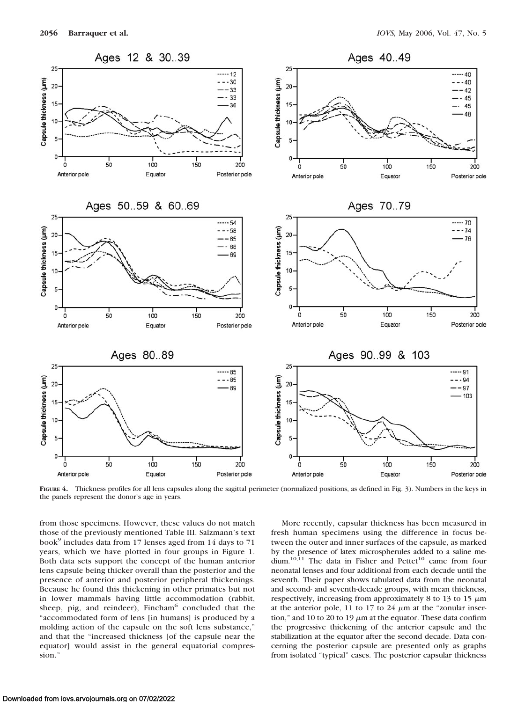

FIGURE 4. Thickness profiles for all lens capsules along the sagittal perimeter (normalized positions, as defined in Fig. 3). Numbers in the keys in the panels represent the donor's age in years.

from those specimens. However, these values do not match those of the previously mentioned Table III. Salzmann's text book<sup>9</sup> includes data from 17 lenses aged from 14 days to 71 years, which we have plotted in four groups in Figure 1. Both data sets support the concept of the human anterior lens capsule being thicker overall than the posterior and the presence of anterior and posterior peripheral thickenings. Because he found this thickening in other primates but not in lower mammals having little accommodation (rabbit, sheep, pig, and reindeer), Fincham $6$  concluded that the "accommodated form of lens [in humans] is produced by a molding action of the capsule on the soft lens substance," and that the "increased thickness [of the capsule near the equator] would assist in the general equatorial compression.'

More recently, capsular thickness has been measured in fresh human specimens using the difference in focus between the outer and inner surfaces of the capsule, as marked by the presence of latex microspherules added to a saline medium.<sup>10,11</sup> The data in Fisher and Pettet<sup>10</sup> came from four neonatal lenses and four additional from each decade until the seventh. Their paper shows tabulated data from the neonatal and second- and seventh-decade groups, with mean thickness, respectively, increasing from approximately 8 to 13 to 15  $\mu$ m at the anterior pole, 11 to 17 to 24  $\mu$ m at the "zonular insertion," and 10 to 20 to 19  $\mu$ m at the equator. These data confirm the progressive thickening of the anterior capsule and the stabilization at the equator after the second decade. Data concerning the posterior capsule are presented only as graphs from isolated "typical" cases. The posterior capsular thickness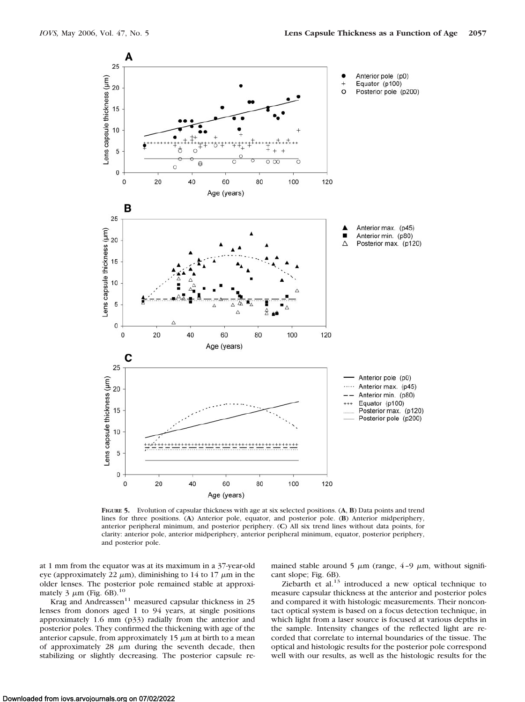

**FIGURE 5.** Evolution of capsular thickness with age at six selected positions. (**A**, **B**) Data points and trend lines for three positions. (**A**) Anterior pole, equator, and posterior pole. (**B**) Anterior midperiphery, anterior peripheral minimum, and posterior periphery. (**C**) All six trend lines without data points, for clarity: anterior pole, anterior midperiphery, anterior peripheral minimum, equator, posterior periphery, and posterior pole.

at 1 mm from the equator was at its maximum in a 37-year-old eye (approximately 22  $\mu$ m), diminishing to 14 to 17  $\mu$ m in the older lenses. The posterior pole remained stable at approximately 3  $\mu$ m (Fig. 6B).<sup>10</sup>

Krag and Andreassen<sup>11</sup> measured capsular thickness in 25 lenses from donors aged 1 to 94 years, at single positions approximately 1.6 mm (p33) radially from the anterior and posterior poles. They confirmed the thickening with age of the anterior capsule, from approximately 15  $\mu$ m at birth to a mean of approximately  $28 \mu m$  during the seventh decade, then stabilizing or slightly decreasing. The posterior capsule re-

mained stable around 5  $\mu$ m (range, 4-9  $\mu$ m, without significant slope; Fig. 6B).

Ziebarth et al. $^{13}$  introduced a new optical technique to measure capsular thickness at the anterior and posterior poles and compared it with histologic measurements. Their noncontact optical system is based on a focus detection technique, in which light from a laser source is focused at various depths in the sample. Intensity changes of the reflected light are recorded that correlate to internal boundaries of the tissue. The optical and histologic results for the posterior pole correspond well with our results, as well as the histologic results for the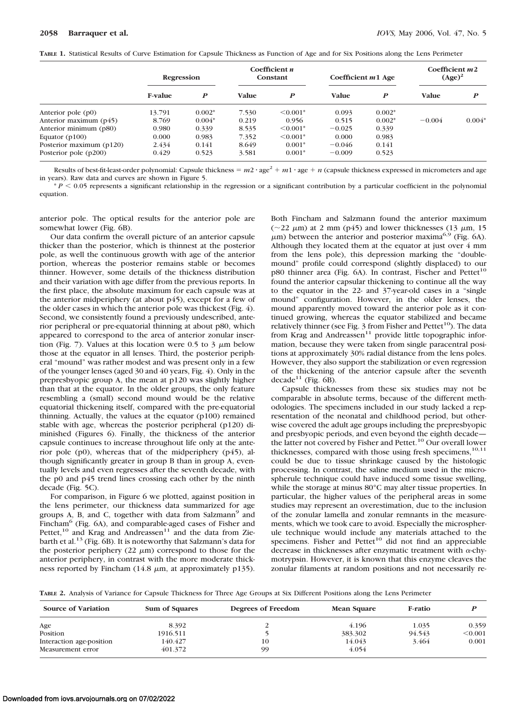| TABLE 1. Statistical Results of Curve Estimation for Capsule Thickness as Function of Age and for Six Positions along the Lens Perimeter |
|------------------------------------------------------------------------------------------------------------------------------------------|
|------------------------------------------------------------------------------------------------------------------------------------------|

|                          | Regression     |          | Coefficient $n$<br>Constant |               | Coefficient $m1$ Age |                  | Coefficient $m2$<br>$(Age)^2$ |          |
|--------------------------|----------------|----------|-----------------------------|---------------|----------------------|------------------|-------------------------------|----------|
|                          | <b>F-value</b> | P        | Value                       | P             | <b>Value</b>         | $\boldsymbol{P}$ | <b>Value</b>                  |          |
| Anterior pole $(p0)$     | 13.791         | $0.002*$ | 7.530                       | $\leq 0.001*$ | 0.093                | $0.002*$         |                               |          |
| Anterior maximum $(p45)$ | 8.769          | $0.004*$ | 0.219                       | 0.956         | 0.515                | $0.002*$         | $-0.004$                      | $0.004*$ |
| Anterior minimum (p80)   | 0.980          | 0.339    | 8.535                       | $\leq 0.001*$ | $-0.025$             | 0.339            |                               |          |
| Equator $(p100)$         | 0.000          | 0.983    | 7.352                       | $\leq 0.001*$ | 0.000                | 0.983            |                               |          |
| Posterior maximum (p120) | 2.434          | 0.141    | 8.649                       | $0.001*$      | $-0.046$             | 0.141            |                               |          |
| Posterior pole (p200)    | 0.429          | 0.523    | 3.581                       | $0.001*$      | $-0.009$             | 0.523            |                               |          |

Results of best-fit-least-order polynomial: Capsule thickness  $= m^2 \cdot \text{age}^2 + m^1 \cdot \text{age} + n$  (capsule thickness expressed in micrometers and age in years). Raw data and curves are shown in Figure 5.

 $P < 0.05$  represents a significant relationship in the regression or a significant contribution by a particular coefficient in the polynomial equation.

anterior pole. The optical results for the anterior pole are somewhat lower (Fig. 6B).

Our data confirm the overall picture of an anterior capsule thicker than the posterior, which is thinnest at the posterior pole, as well the continuous growth with age of the anterior portion, whereas the posterior remains stable or becomes thinner. However, some details of the thickness distribution and their variation with age differ from the previous reports. In the first place, the absolute maximum for each capsule was at the anterior midperiphery (at about p45), except for a few of the older cases in which the anterior pole was thickest (Fig. 4). Second, we consistently found a previously undescribed, anterior peripheral or pre-equatorial thinning at about p80, which appeared to correspond to the area of anterior zonular insertion (Fig. 7). Values at this location were  $0.5$  to  $3 \mu m$  below those at the equator in all lenses. Third, the posterior peripheral "mound" was rather modest and was present only in a few of the younger lenses (aged 30 and 40 years, Fig. 4). Only in the prepresbyopic group A, the mean at p120 was slightly higher than that at the equator. In the older groups, the only feature resembling a (small) second mound would be the relative equatorial thickening itself, compared with the pre-equatorial thinning. Actually, the values at the equator (p100) remained stable with age, whereas the posterior peripheral (p120) diminished (Figures 6). Finally, the thickness of the anterior capsule continues to increase throughout life only at the anterior pole (p0), whereas that of the midperiphery (p45), although significantly greater in group B than in group A, eventually levels and even regresses after the seventh decade, with the p0 and p45 trend lines crossing each other by the ninth decade (Fig. 5C).

For comparison, in Figure 6 we plotted, against position in the lens perimeter, our thickness data summarized for age groups A, B, and C, together with data from Salzmann<sup>9</sup> and Fincham<sup>6</sup> (Fig. 6A), and comparable-aged cases of Fisher and Pettet, $10$  and Krag and Andreassen<sup>11</sup> and the data from Ziebarth et al.<sup>13</sup> (Fig. 6B). It is noteworthy that Salzmann's data for the posterior periphery  $(22 \mu m)$  correspond to those for the anterior periphery, in contrast with the more moderate thickness reported by Fincham  $(14.8 \mu m, at approximately p135)$ . Both Fincham and Salzmann found the anterior maximum ( $\sim$ 22  $\mu$ m) at 2 mm (p45) and lower thicknesses (13  $\mu$ m, 15  $\mu$ m) between the anterior and posterior maxima<sup>6,9</sup> (Fig. 6A). Although they located them at the equator at just over 4 mm from the lens pole), this depression marking the "doublemound" profile could correspond (slightly displaced) to our p80 thinner area (Fig. 6A). In contrast, Fischer and Pettet<sup>10</sup> found the anterior capsular thickening to continue all the way to the equator in the 22- and 37-year-old cases in a "single mound" configuration. However, in the older lenses, the mound apparently moved toward the anterior pole as it continued growing, whereas the equator stabilized and became relatively thinner (see Fig.  $3$  from Fisher and Pettet<sup>10</sup>). The data from Krag and Andreassen<sup>11</sup> provide little topographic information, because they were taken from single paracentral positions at approximately 30% radial distance from the lens poles. However, they also support the stabilization or even regression of the thickening of the anterior capsule after the seventh decade<sup>11</sup> (Fig.  $6B$ ).

Capsule thicknesses from these six studies may not be comparable in absolute terms, because of the different methodologies. The specimens included in our study lacked a representation of the neonatal and childhood period, but otherwise covered the adult age groups including the prepresbyopic and presbyopic periods, and even beyond the eighth decade the latter not covered by Fisher and Pettet.<sup>10</sup> Our overall lower thicknesses, compared with those using fresh specimens, $10,11$ could be due to tissue shrinkage caused by the histologic processing. In contrast, the saline medium used in the microspherule technique could have induced some tissue swelling, while the storage at minus 80°C may alter tissue properties. In particular, the higher values of the peripheral areas in some studies may represent an overestimation, due to the inclusion of the zonular lamella and zonular remnants in the measurements, which we took care to avoid. Especially the microspherule technique would include any materials attached to the specimens. Fisher and Pettet<sup>10</sup> did not find an appreciable decrease in thicknesses after enzymatic treatment with  $\alpha$ -chymotrypsin. However, it is known that this enzyme cleaves the zonular filaments at random positions and not necessarily re-

**TABLE 2.** Analysis of Variance for Capsule Thickness for Three Age Groups at Six Different Positions along the Lens Perimeter

| <b>Source of Variation</b>                    | Sum of Squares     | Degrees of Freedom | <b>Mean Square</b> | F-ratio |         |  |
|-----------------------------------------------|--------------------|--------------------|--------------------|---------|---------|--|
| Age                                           | 8.392              |                    | 4.196              | 1.035   | 0.359   |  |
| Position                                      | 1916.511           |                    | 383.302            | 94.543  | < 0.001 |  |
| Interaction age-position<br>Measurement error | 140.427<br>401.372 | 10<br>99           | 14.043<br>4.054    | 3.464   | 0.001   |  |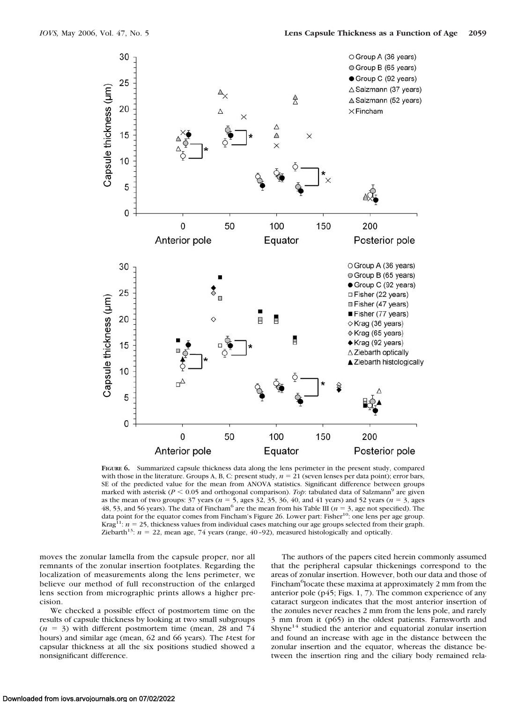

**FIGURE 6.** Summarized capsule thickness data along the lens perimeter in the present study, compared with those in the literature. Groups A, B, C: present study,  $n = 21$  (seven lenses per data point); error bars, SE of the predicted value for the mean from ANOVA statistics. Significant difference between groups marked with asterisk ( $P \le 0.05$  and orthogonal comparison). *Top*: tabulated data of Salzmann<sup>9</sup> are given as the mean of two groups:  $37$  years ( $n = 5$ , ages  $32$ ,  $35$ ,  $36$ ,  $40$ , and  $41$  years) and  $52$  years ( $n = 3$ , ages 48, 53, and 56 years). The data of Fincham<sup>6</sup> are the mean from his Table III ( $n = 3$ , age not specified). The data point for the equator comes from Fincham's Figure 26. Lower part: Fisher<sup>10</sup>: one lens per age group. Krag<sup>11</sup>:  $n = 25$ , thickness values from individual cases matching our age groups selected from their graph. Ziebarth<sup>13</sup>:  $n = 22$ , mean age, 74 years (range, 40–92), measured histologically and optically.

moves the zonular lamella from the capsule proper, nor all remnants of the zonular insertion footplates. Regarding the localization of measurements along the lens perimeter, we believe our method of full reconstruction of the enlarged lens section from micrographic prints allows a higher precision.

We checked a possible effect of postmortem time on the results of capsule thickness by looking at two small subgroups  $(n = 3)$  with different postmortem time (mean, 28 and 74) hours) and similar age (mean, 62 and 66 years). The *t*-test for capsular thickness at all the six positions studied showed a nonsignificant difference.

The authors of the papers cited herein commonly assumed that the peripheral capsular thickenings correspond to the areas of zonular insertion. However, both our data and those of Fincham<sup>6</sup>locate these maxima at approximately 2 mm from the anterior pole (p45; Figs. 1, 7). The common experience of any cataract surgeon indicates that the most anterior insertion of the zonules never reaches 2 mm from the lens pole, and rarely 3 mm from it (p65) in the oldest patients. Farnsworth and Shyne<sup>14</sup> studied the anterior and equatorial zonular insertion and found an increase with age in the distance between the zonular insertion and the equator, whereas the distance between the insertion ring and the ciliary body remained rela-